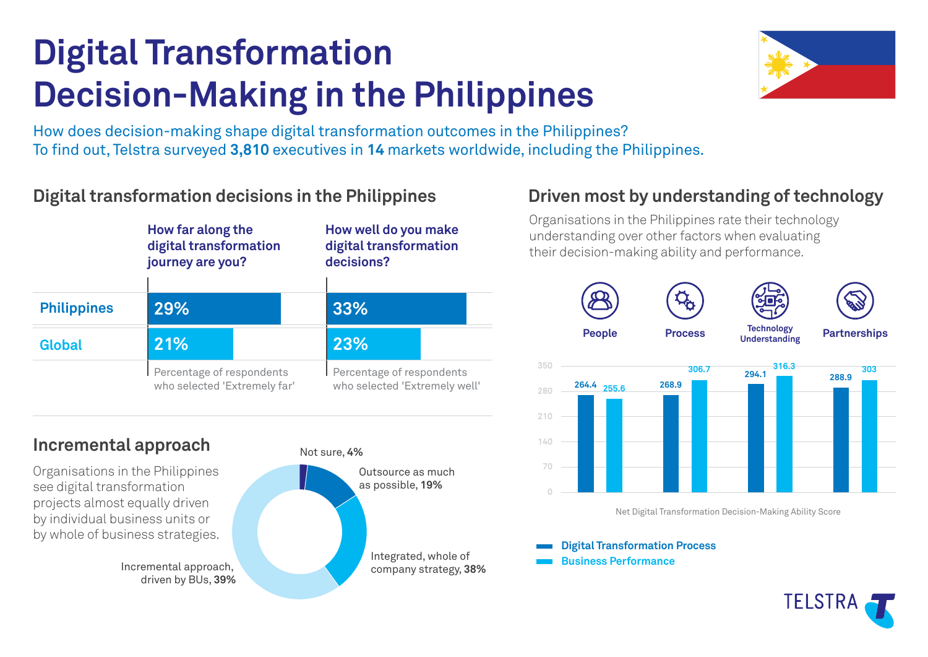# **Digital Transformation Decision-Making in the Philippines**



How does decision-making shape digital transformation outcomes in the Philippines? To find out, Telstra surveyed 3,810 executives in 14 markets worldwide, including the Philippines.

## **Digital transformation decisions in the Philippines**



## **Incremental approach**

Organisations in the Philippines see digital transformation projects almost equally driven by individual business units or by whole of business strategies.

driven by BUs, **39%**



# **Driven most by understanding of technology**

Organisations in the Philippines rate their technology understanding over other factors when evaluating their decision-making ability and performance.



**Digital Transformation Process**

**Business Performance**